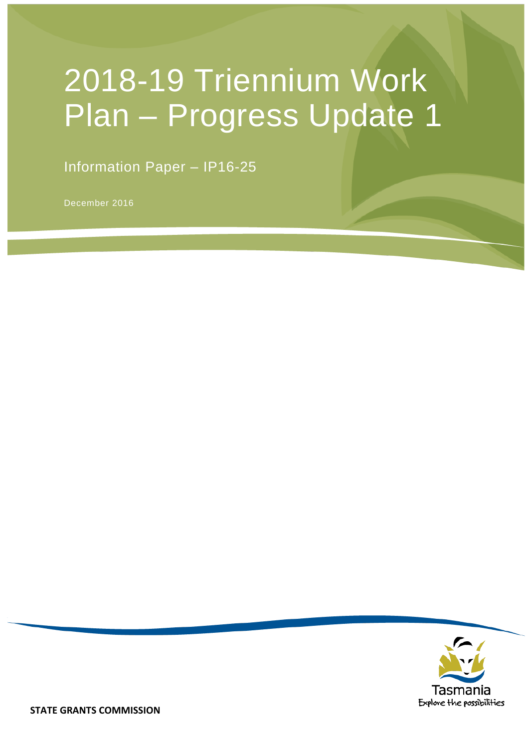# 2018-19 Triennium Work Plan – Progress Update 1

Information Paper – IP16-25

December 2016

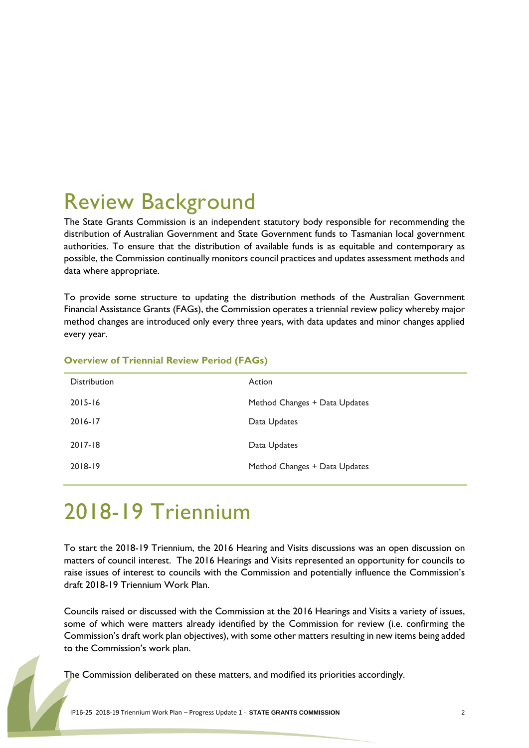## Review Background

The State Grants Commission is an independent statutory body responsible for recommending the distribution of Australian Government and State Government funds to Tasmanian local government authorities. To ensure that the distribution of available funds is as equitable and contemporary as possible, the Commission continually monitors council practices and updates assessment methods and data where appropriate.

To provide some structure to updating the distribution methods of the Australian Government Financial Assistance Grants (FAGs), the Commission operates a triennial review policy whereby major method changes are introduced only every three years, with data updates and minor changes applied every year.

| <b>Distribution</b> | Action                        |
|---------------------|-------------------------------|
| $2015 - 16$         | Method Changes + Data Updates |
| 2016-17             | Data Updates                  |
| 2017-18             | Data Updates                  |
| 2018-19             | Method Changes + Data Updates |

#### **Overview of Triennial Review Period (FAGs)**

## 2018-19 Triennium

To start the 2018-19 Triennium, the 2016 Hearing and Visits discussions was an open discussion on matters of council interest. The 2016 Hearings and Visits represented an opportunity for councils to raise issues of interest to councils with the Commission and potentially influence the Commission's draft 2018-19 Triennium Work Plan.

Councils raised or discussed with the Commission at the 2016 Hearings and Visits a variety of issues, some of which were matters already identified by the Commission for review (i.e. confirming the Commission's draft work plan objectives), with some other matters resulting in new items being added to the Commission's work plan.

The Commission deliberated on these matters, and modified its priorities accordingly.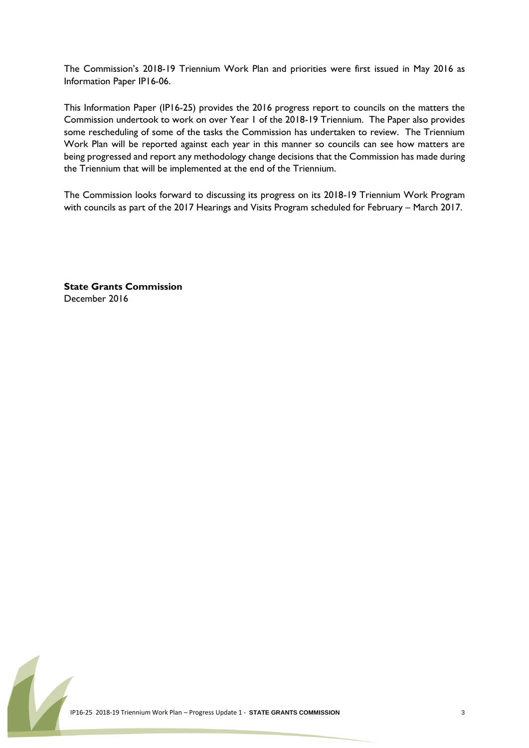The Commission's 2018-19 Triennium Work Plan and priorities were first issued in May 2016 as Information Paper IP16-06.

This Information Paper (IP16-25) provides the 2016 progress report to councils on the matters the Commission undertook to work on over Year 1 of the 2018-19 Triennium. The Paper also provides some rescheduling of some of the tasks the Commission has undertaken to review. The Triennium Work Plan will be reported against each year in this manner so councils can see how matters are being progressed and report any methodology change decisions that the Commission has made during the Triennium that will be implemented at the end of the Triennium.

The Commission looks forward to discussing its progress on its 2018-19 Triennium Work Program with councils as part of the 2017 Hearings and Visits Program scheduled for February – March 2017.

**State Grants Commission** December 2016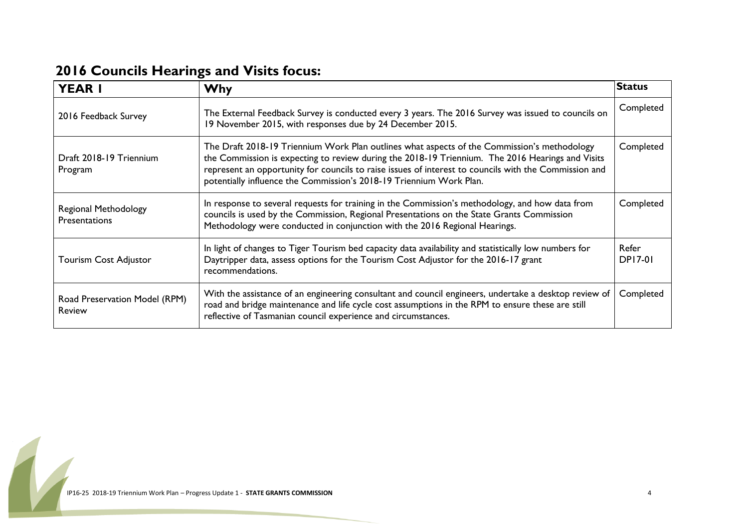| <b>YEAR I</b>                                  | <b>Why</b>                                                                                                                                                                                                                                                                                                                                                                      | <b>Status</b>           |
|------------------------------------------------|---------------------------------------------------------------------------------------------------------------------------------------------------------------------------------------------------------------------------------------------------------------------------------------------------------------------------------------------------------------------------------|-------------------------|
| 2016 Feedback Survey                           | The External Feedback Survey is conducted every 3 years. The 2016 Survey was issued to councils on<br>19 November 2015, with responses due by 24 December 2015.                                                                                                                                                                                                                 | Completed               |
| Draft 2018-19 Triennium<br>Program             | The Draft 2018-19 Triennium Work Plan outlines what aspects of the Commission's methodology<br>the Commission is expecting to review during the 2018-19 Triennium. The 2016 Hearings and Visits<br>represent an opportunity for councils to raise issues of interest to councils with the Commission and<br>potentially influence the Commission's 2018-19 Triennium Work Plan. | Completed               |
| Regional Methodology<br><b>Presentations</b>   | In response to several requests for training in the Commission's methodology, and how data from<br>councils is used by the Commission, Regional Presentations on the State Grants Commission<br>Methodology were conducted in conjunction with the 2016 Regional Hearings.                                                                                                      | Completed               |
| <b>Tourism Cost Adjustor</b>                   | In light of changes to Tiger Tourism bed capacity data availability and statistically low numbers for<br>Daytripper data, assess options for the Tourism Cost Adjustor for the 2016-17 grant<br>recommendations.                                                                                                                                                                | Refer<br><b>DP17-01</b> |
| Road Preservation Model (RPM)<br><b>Review</b> | With the assistance of an engineering consultant and council engineers, undertake a desktop review of<br>road and bridge maintenance and life cycle cost assumptions in the RPM to ensure these are still<br>reflective of Tasmanian council experience and circumstances.                                                                                                      | Completed               |

#### **2016 Councils Hearings and Visits focus:**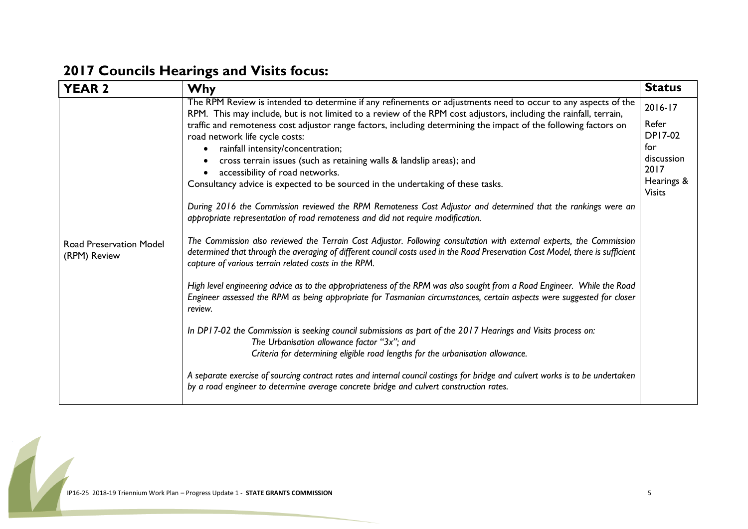### **2017 Councils Hearings and Visits focus:**

| <b>YEAR 2</b>                           | <b>Why</b>                                                                                                                                                                                                                                                                                                                                                                                                                                                                                                                                                                                                                                                                                                                                                                                                                                                                                                                                                                                                                                                                                                                                                                                                                                                                                                                                                                                                                                                                                                                                                                                                                                                                                                                                                                                                                                                                                                 | <b>Status</b>                                                                                  |
|-----------------------------------------|------------------------------------------------------------------------------------------------------------------------------------------------------------------------------------------------------------------------------------------------------------------------------------------------------------------------------------------------------------------------------------------------------------------------------------------------------------------------------------------------------------------------------------------------------------------------------------------------------------------------------------------------------------------------------------------------------------------------------------------------------------------------------------------------------------------------------------------------------------------------------------------------------------------------------------------------------------------------------------------------------------------------------------------------------------------------------------------------------------------------------------------------------------------------------------------------------------------------------------------------------------------------------------------------------------------------------------------------------------------------------------------------------------------------------------------------------------------------------------------------------------------------------------------------------------------------------------------------------------------------------------------------------------------------------------------------------------------------------------------------------------------------------------------------------------------------------------------------------------------------------------------------------------|------------------------------------------------------------------------------------------------|
| Road Preservation Model<br>(RPM) Review | The RPM Review is intended to determine if any refinements or adjustments need to occur to any aspects of the<br>RPM. This may include, but is not limited to a review of the RPM cost adjustors, including the rainfall, terrain,<br>traffic and remoteness cost adjustor range factors, including determining the impact of the following factors on<br>road network life cycle costs:<br>rainfall intensity/concentration;<br>$\bullet$<br>cross terrain issues (such as retaining walls & landslip areas); and<br>accessibility of road networks.<br>Consultancy advice is expected to be sourced in the undertaking of these tasks.<br>During 2016 the Commission reviewed the RPM Remoteness Cost Adjustor and determined that the rankings were an<br>appropriate representation of road remoteness and did not require modification.<br>The Commission also reviewed the Terrain Cost Adjustor. Following consultation with external experts, the Commission<br>determined that through the averaging of different council costs used in the Road Preservation Cost Model, there is sufficient<br>capture of various terrain related costs in the RPM.<br>High level engineering advice as to the appropriateness of the RPM was also sought from a Road Engineer. While the Road<br>Engineer assessed the RPM as being appropriate for Tasmanian circumstances, certain aspects were suggested for closer<br>review.<br>In DP17-02 the Commission is seeking council submissions as part of the 2017 Hearings and Visits process on:<br>The Urbanisation allowance factor "3x"; and<br>Criteria for determining eligible road lengths for the urbanisation allowance.<br>A separate exercise of sourcing contract rates and internal council costings for bridge and culvert works is to be undertaken<br>by a road engineer to determine average concrete bridge and culvert construction rates. | 2016-17<br>Refer<br><b>DP17-02</b><br>for<br>discussion<br>2017<br>Hearings &<br><b>Visits</b> |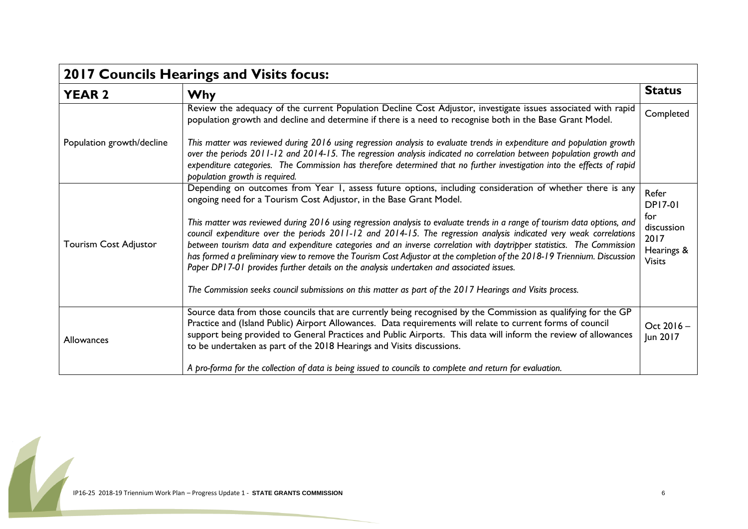| 2017 Councils Hearings and Visits focus: |                                                                                                                                                                                                                                                                                                                                                                                                                                                                                                                                                                                                  |                                                          |
|------------------------------------------|--------------------------------------------------------------------------------------------------------------------------------------------------------------------------------------------------------------------------------------------------------------------------------------------------------------------------------------------------------------------------------------------------------------------------------------------------------------------------------------------------------------------------------------------------------------------------------------------------|----------------------------------------------------------|
| <b>YEAR 2</b>                            | <b>Why</b>                                                                                                                                                                                                                                                                                                                                                                                                                                                                                                                                                                                       | <b>Status</b>                                            |
|                                          | Review the adequacy of the current Population Decline Cost Adjustor, investigate issues associated with rapid<br>population growth and decline and determine if there is a need to recognise both in the Base Grant Model.                                                                                                                                                                                                                                                                                                                                                                       | Completed                                                |
| Population growth/decline                | This matter was reviewed during 2016 using regression analysis to evaluate trends in expenditure and population growth<br>over the periods 2011-12 and 2014-15. The regression analysis indicated no correlation between population growth and<br>expenditure categories. The Commission has therefore determined that no further investigation into the effects of rapid<br>population growth is required.                                                                                                                                                                                      |                                                          |
| Tourism Cost Adjustor                    | Depending on outcomes from Year 1, assess future options, including consideration of whether there is any<br>ongoing need for a Tourism Cost Adjustor, in the Base Grant Model.                                                                                                                                                                                                                                                                                                                                                                                                                  | Refer<br><b>DP17-01</b>                                  |
|                                          | This matter was reviewed during 2016 using regression analysis to evaluate trends in a range of tourism data options, and<br>council expenditure over the periods 2011-12 and 2014-15. The regression analysis indicated very weak correlations<br>between tourism data and expenditure categories and an inverse correlation with daytripper statistics. The Commission<br>has formed a preliminary view to remove the Tourism Cost Adjustor at the completion of the 2018-19 Triennium. Discussion<br>Paper DP17-01 provides further details on the analysis undertaken and associated issues. | for<br>discussion<br>2017<br>Hearings &<br><b>Visits</b> |
|                                          | The Commission seeks council submissions on this matter as part of the 2017 Hearings and Visits process.                                                                                                                                                                                                                                                                                                                                                                                                                                                                                         |                                                          |
| Allowances                               | Source data from those councils that are currently being recognised by the Commission as qualifying for the GP<br>Practice and (Island Public) Airport Allowances. Data requirements will relate to current forms of council<br>support being provided to General Practices and Public Airports. This data will inform the review of allowances<br>to be undertaken as part of the 2018 Hearings and Visits discussions.                                                                                                                                                                         | Oct 2016-<br>Jun 2017                                    |
|                                          | A pro-forma for the collection of data is being issued to councils to complete and return for evaluation.                                                                                                                                                                                                                                                                                                                                                                                                                                                                                        |                                                          |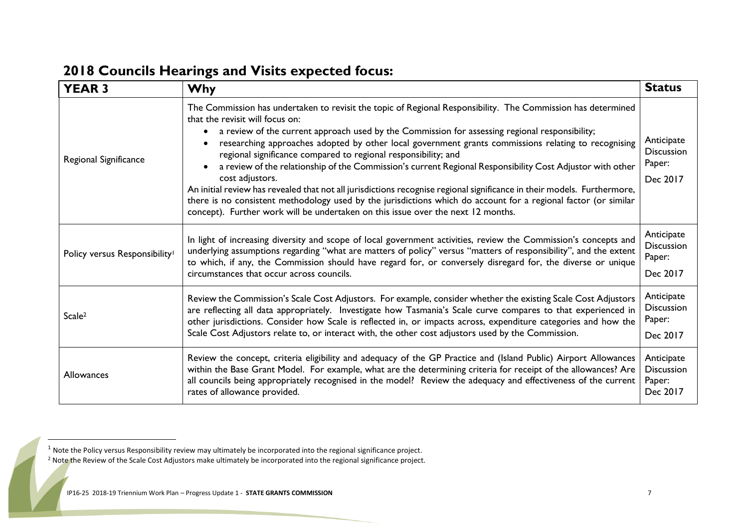| <b>YEAR 3</b>                             | <b>Why</b>                                                                                                                                                                                                                                                                                                                                                                                                                                                                                                                                                                                                                                                                                                                                                                                                                                                                                                | <b>Status</b>                                         |
|-------------------------------------------|-----------------------------------------------------------------------------------------------------------------------------------------------------------------------------------------------------------------------------------------------------------------------------------------------------------------------------------------------------------------------------------------------------------------------------------------------------------------------------------------------------------------------------------------------------------------------------------------------------------------------------------------------------------------------------------------------------------------------------------------------------------------------------------------------------------------------------------------------------------------------------------------------------------|-------------------------------------------------------|
| Regional Significance                     | The Commission has undertaken to revisit the topic of Regional Responsibility. The Commission has determined<br>that the revisit will focus on:<br>a review of the current approach used by the Commission for assessing regional responsibility;<br>researching approaches adopted by other local government grants commissions relating to recognising<br>regional significance compared to regional responsibility; and<br>a review of the relationship of the Commission's current Regional Responsibility Cost Adjustor with other<br>$\bullet$<br>cost adjustors.<br>An initial review has revealed that not all jurisdictions recognise regional significance in their models. Furthermore,<br>there is no consistent methodology used by the jurisdictions which do account for a regional factor (or similar<br>concept). Further work will be undertaken on this issue over the next 12 months. | Anticipate<br><b>Discussion</b><br>Paper:<br>Dec 2017 |
| Policy versus Responsibility <sup>1</sup> | In light of increasing diversity and scope of local government activities, review the Commission's concepts and<br>underlying assumptions regarding "what are matters of policy" versus "matters of responsibility", and the extent<br>to which, if any, the Commission should have regard for, or conversely disregard for, the diverse or unique<br>circumstances that occur across councils.                                                                                                                                                                                                                                                                                                                                                                                                                                                                                                           | Anticipate<br><b>Discussion</b><br>Paper:<br>Dec 2017 |
| Scale <sup>2</sup>                        | Review the Commission's Scale Cost Adjustors. For example, consider whether the existing Scale Cost Adjustors<br>are reflecting all data appropriately. Investigate how Tasmania's Scale curve compares to that experienced in<br>other jurisdictions. Consider how Scale is reflected in, or impacts across, expenditure categories and how the<br>Scale Cost Adjustors relate to, or interact with, the other cost adjustors used by the Commission.                                                                                                                                                                                                                                                                                                                                                                                                                                                    | Anticipate<br><b>Discussion</b><br>Paper:<br>Dec 2017 |
| <b>Allowances</b>                         | Review the concept, criteria eligibility and adequacy of the GP Practice and (Island Public) Airport Allowances<br>within the Base Grant Model. For example, what are the determining criteria for receipt of the allowances? Are<br>all councils being appropriately recognised in the model? Review the adequacy and effectiveness of the current<br>rates of allowance provided.                                                                                                                                                                                                                                                                                                                                                                                                                                                                                                                       | Anticipate<br><b>Discussion</b><br>Paper:<br>Dec 2017 |

#### **2018 Councils Hearings and Visits expected focus:**

 $\overline{\phantom{a}}$ 

 $1$  Note the Policy versus Responsibility review may ultimately be incorporated into the regional significance project.

<sup>&</sup>lt;sup>2</sup> Note the Review of the Scale Cost Adjustors make ultimately be incorporated into the regional significance project.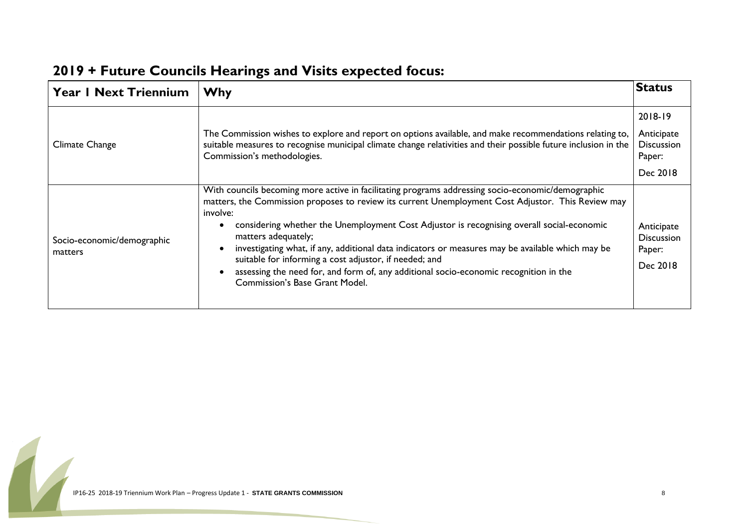| <b>Year I Next Triennium</b>          | <b>Why</b>                                                                                                                                                                                                                                                                                                                                                                                                                                                                                                                                                                                                                       | <b>Status</b>                                                    |
|---------------------------------------|----------------------------------------------------------------------------------------------------------------------------------------------------------------------------------------------------------------------------------------------------------------------------------------------------------------------------------------------------------------------------------------------------------------------------------------------------------------------------------------------------------------------------------------------------------------------------------------------------------------------------------|------------------------------------------------------------------|
| Climate Change                        | The Commission wishes to explore and report on options available, and make recommendations relating to,<br>suitable measures to recognise municipal climate change relativities and their possible future inclusion in the<br>Commission's methodologies.                                                                                                                                                                                                                                                                                                                                                                        | 2018-19<br>Anticipate<br><b>Discussion</b><br>Paper:<br>Dec 2018 |
| Socio-economic/demographic<br>matters | With councils becoming more active in facilitating programs addressing socio-economic/demographic<br>matters, the Commission proposes to review its current Unemployment Cost Adjustor. This Review may<br>involve:<br>considering whether the Unemployment Cost Adjustor is recognising overall social-economic<br>matters adequately;<br>investigating what, if any, additional data indicators or measures may be available which may be<br>suitable for informing a cost adjustor, if needed; and<br>assessing the need for, and form of, any additional socio-economic recognition in the<br>Commission's Base Grant Model. | Anticipate<br><b>Discussion</b><br>Paper:<br>Dec 2018            |

#### **2019 + Future Councils Hearings and Visits expected focus:**